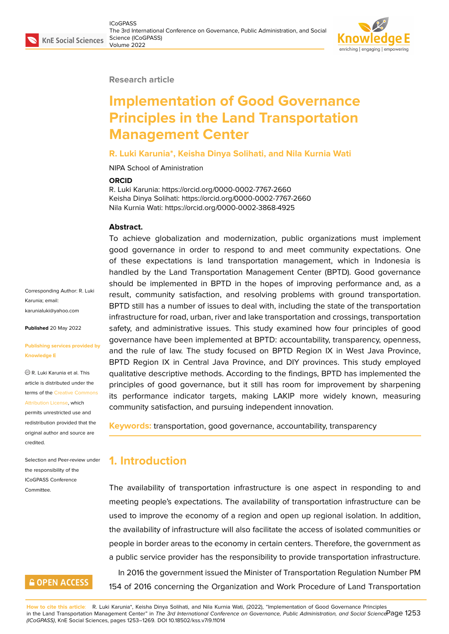#### **Research article**

# **Implementation of Good Governance Principles in the Land Transportation Management Center**

#### **R. Luki Karunia\*, Keisha Dinya Solihati, and Nila Kurnia Wati**

NIPA School of Aministration

#### **ORCID**

R. Luki Karunia: https://orcid.org/0000-0002-7767-2660 Keisha Dinya Solihati: https://orcid.org/0000-0002-7767-2660 Nila Kurnia Wati: https://orcid.org/0000-0002-3868-4925

#### **Abstract.**

To achieve globalization and modernization, public organizations must implement good governance in order to respond to and meet community expectations. One of these expectations is land transportation management, which in Indonesia is handled by the Land Transportation Management Center (BPTD). Good governance should be implemented in BPTD in the hopes of improving performance and, as a result, community satisfaction, and resolving problems with ground transportation. BPTD still has a number of issues to deal with, including the state of the transportation infrastructure for road, urban, river and lake transportation and crossings, transportation safety, and administrative issues. This study examined how four principles of good governance have been implemented at BPTD: accountability, transparency, openness, and the rule of law. The study focused on BPTD Region IX in West Java Province, BPTD Region IX in Central Java Province, and DIY provinces. This study employed qualitative descriptive methods. According to the findings, BPTD has implemented the principles of good governance, but it still has room for improvement by sharpening its performance indicator targets, making LAKIP more widely known, measuring community satisfaction, and pursuing independent innovation.

**Keywords:** transportation, good governance, accountability, transparency

# **1. Introduction**

The availability of transportation infrastructure is one aspect in responding to and meeting people's expectations. The availability of transportation infrastructure can be used to improve the economy of a region and open up regional isolation. In addition, the availability of infrastructure will also facilitate the access of isolated communities or people in border areas to the economy in certain centers. Therefore, the government as a public service provider has the responsibility to provide transportation infrastructure. In 2016 the government issued the Minister of Transportation Regulation Number PM 154 of 2016 concerning the Organization and Work Procedure of Land Transportation

**How to cite this article**: R. Luki Karunia\*, Keisha Dinya Solihati, and Nila Kurnia Wati, (2022), "Implementation of Good Governance Principles in the Land Transportation Management Center" in *The 3rd International Conference on Governance, Public Administration, and Social Science* Page 1253 *(ICoGPASS)*, KnE Social Sciences, pages 1253–1269. DOI 10.18502/kss.v7i9.11014

Corresponding Author: R. Luki Karunia; email: karunialuki@yahoo.com

**Published** 20 May 2022

#### **[Publishing services pro](mailto:karunialuki@yahoo.com)vided by Knowledge E**

R. Luki Karunia et al. This article is distributed under the terms of the Creative Commons Attribution License, which

permits unrestricted use and redistribution provided that the original auth[or and source are](https://creativecommons.org/licenses/by/4.0/) [credited.](https://creativecommons.org/licenses/by/4.0/)

Selection and Peer-review under the responsibility of the ICoGPASS Conference Committee.

# **GOPEN ACCESS**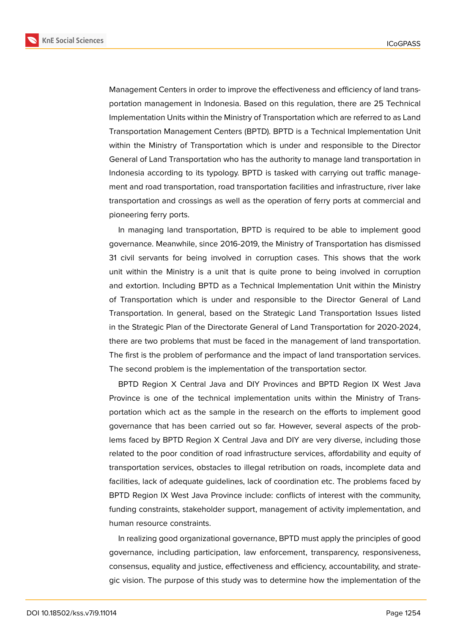**KnE Social Sciences** 



Management Centers in order to improve the effectiveness and efficiency of land transportation management in Indonesia. Based on this regulation, there are 25 Technical Implementation Units within the Ministry of Transportation which are referred to as Land Transportation Management Centers (BPTD). BPTD is a Technical Implementation Unit within the Ministry of Transportation which is under and responsible to the Director General of Land Transportation who has the authority to manage land transportation in Indonesia according to its typology. BPTD is tasked with carrying out traffic management and road transportation, road transportation facilities and infrastructure, river lake transportation and crossings as well as the operation of ferry ports at commercial and pioneering ferry ports.

In managing land transportation, BPTD is required to be able to implement good governance. Meanwhile, since 2016-2019, the Ministry of Transportation has dismissed 31 civil servants for being involved in corruption cases. This shows that the work unit within the Ministry is a unit that is quite prone to being involved in corruption and extortion. Including BPTD as a Technical Implementation Unit within the Ministry of Transportation which is under and responsible to the Director General of Land Transportation. In general, based on the Strategic Land Transportation Issues listed in the Strategic Plan of the Directorate General of Land Transportation for 2020-2024, there are two problems that must be faced in the management of land transportation. The first is the problem of performance and the impact of land transportation services. The second problem is the implementation of the transportation sector.

BPTD Region X Central Java and DIY Provinces and BPTD Region IX West Java Province is one of the technical implementation units within the Ministry of Transportation which act as the sample in the research on the efforts to implement good governance that has been carried out so far. However, several aspects of the problems faced by BPTD Region X Central Java and DIY are very diverse, including those related to the poor condition of road infrastructure services, affordability and equity of transportation services, obstacles to illegal retribution on roads, incomplete data and facilities, lack of adequate guidelines, lack of coordination etc. The problems faced by BPTD Region IX West Java Province include: conflicts of interest with the community, funding constraints, stakeholder support, management of activity implementation, and human resource constraints.

In realizing good organizational governance, BPTD must apply the principles of good governance, including participation, law enforcement, transparency, responsiveness, consensus, equality and justice, effectiveness and efficiency, accountability, and strategic vision. The purpose of this study was to determine how the implementation of the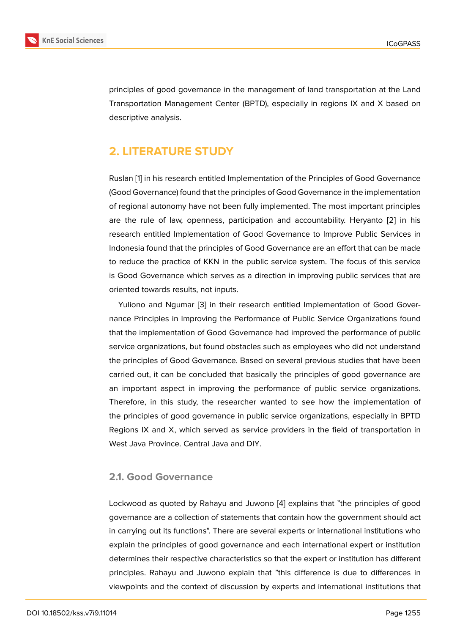principles of good governance in the management of land transportation at the Land Transportation Management Center (BPTD), especially in regions IX and X based on descriptive analysis.

# **2. LITERATURE STUDY**

Ruslan [1] in his research entitled Implementation of the Principles of Good Governance (Good Governance) found that the principles of Good Governance in the implementation of regional autonomy have not been fully implemented. The most important principles are the rule of law, openness, participation and accountability. Heryanto [2] in his research entitled Implementation of Good Governance to Improve Public Services in Indonesia found that the principles of Good Governance are an effort that can be made to reduce the practice of KKN in the public service system. The focus of thi[s](#page-15-1) service is Good Governance which serves as a direction in improving public services that are oriented towards results, not inputs.

Yuliono and Ngumar [3] in their research entitled Implementation of Good Governance Principles in Improving the Performance of Public Service Organizations found that the implementation of Good Governance had improved the performance of public service organizations, bu[t f](#page-15-2)ound obstacles such as employees who did not understand the principles of Good Governance. Based on several previous studies that have been carried out, it can be concluded that basically the principles of good governance are an important aspect in improving the performance of public service organizations. Therefore, in this study, the researcher wanted to see how the implementation of the principles of good governance in public service organizations, especially in BPTD Regions IX and X, which served as service providers in the field of transportation in West Java Province. Central Java and DIY.

### **2.1. Good Governance**

Lockwood as quoted by Rahayu and Juwono [4] explains that "the principles of good governance are a collection of statements that contain how the government should act in carrying out its functions". There are several experts or international institutions who explain the principles of good governance an[d e](#page-15-3)ach international expert or institution determines their respective characteristics so that the expert or institution has different principles. Rahayu and Juwono explain that "this difference is due to differences in viewpoints and the context of discussion by experts and international institutions that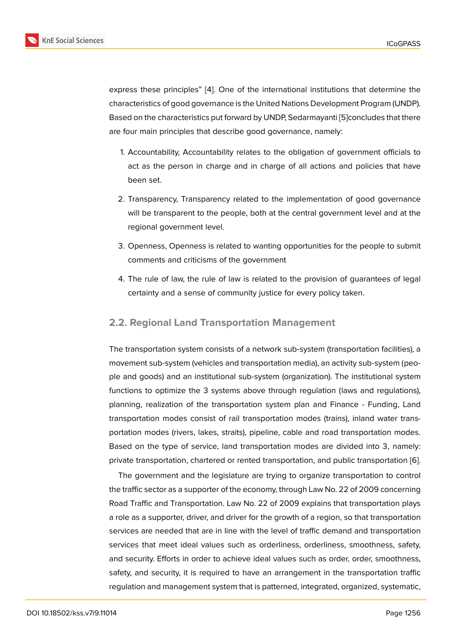express these principles" [4]. One of the international institutions that determine the characteristics of good governance is the United Nations Development Program (UNDP). Based on the characteristics put forward by UNDP, Sedarmayanti [5]concludes that there are four main principles th[at](#page-15-3) describe good governance, namely:

- 1. Accountability, Accountability relates to the obligation of [go](#page-15-4)vernment officials to act as the person in charge and in charge of all actions and policies that have been set.
- 2. Transparency, Transparency related to the implementation of good governance will be transparent to the people, both at the central government level and at the regional government level.
- 3. Openness, Openness is related to wanting opportunities for the people to submit comments and criticisms of the government
- 4. The rule of law, the rule of law is related to the provision of guarantees of legal certainty and a sense of community justice for every policy taken.

### **2.2. Regional Land Transportation Management**

The transportation system consists of a network sub-system (transportation facilities), a movement sub-system (vehicles and transportation media), an activity sub-system (people and goods) and an institutional sub-system (organization). The institutional system functions to optimize the 3 systems above through regulation (laws and regulations), planning, realization of the transportation system plan and Finance - Funding, Land transportation modes consist of rail transportation modes (trains), inland water transportation modes (rivers, lakes, straits), pipeline, cable and road transportation modes. Based on the type of service, land transportation modes are divided into 3, namely: private transportation, chartered or rented transportation, and public transportation [6].

The government and the legislature are trying to organize transportation to control the traffic sector as a supporter of the economy, through Law No. 22 of 2009 concerning Road Traffic and Transportation. Law No. 22 of 2009 explains that transportation pl[ay](#page-15-5)s a role as a supporter, driver, and driver for the growth of a region, so that transportation services are needed that are in line with the level of traffic demand and transportation services that meet ideal values such as orderliness, orderliness, smoothness, safety, and security. Efforts in order to achieve ideal values such as order, order, smoothness, safety, and security, it is required to have an arrangement in the transportation traffic regulation and management system that is patterned, integrated, organized, systematic,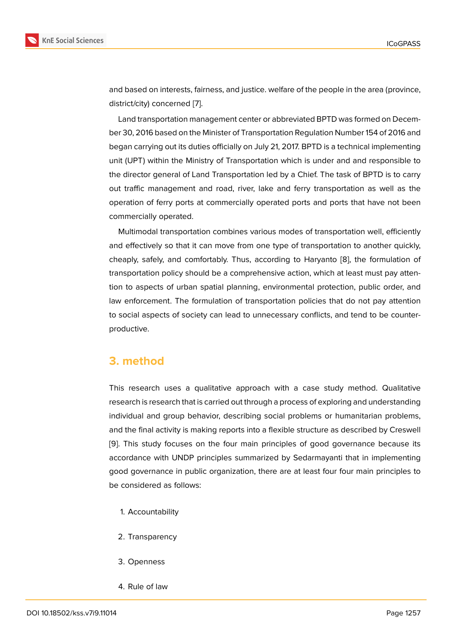and based on interests, fairness, and justice. welfare of the people in the area (province, district/city) concerned [7].

Land transportation management center or abbreviated BPTD was formed on December 30, 2016 based on the Minister of Transportation Regulation Number 154 of 2016 and began carrying out its d[ut](#page-15-6)ies officially on July 21, 2017. BPTD is a technical implementing unit (UPT) within the Ministry of Transportation which is under and and responsible to the director general of Land Transportation led by a Chief. The task of BPTD is to carry out traffic management and road, river, lake and ferry transportation as well as the operation of ferry ports at commercially operated ports and ports that have not been commercially operated.

Multimodal transportation combines various modes of transportation well, efficiently and effectively so that it can move from one type of transportation to another quickly, cheaply, safely, and comfortably. Thus, according to Haryanto [8], the formulation of transportation policy should be a comprehensive action, which at least must pay attention to aspects of urban spatial planning, environmental protection, public order, and law enforcement. The formulation of transportation policies tha[t d](#page-15-7)o not pay attention to social aspects of society can lead to unnecessary conflicts, and tend to be counterproductive.

## **3. method**

This research uses a qualitative approach with a case study method. Qualitative research is research that is carried out through a process of exploring and understanding individual and group behavior, describing social problems or humanitarian problems, and the final activity is making reports into a flexible structure as described by Creswell [9]. This study focuses on the four main principles of good governance because its accordance with UNDP principles summarized by Sedarmayanti that in implementing good governance in public organization, there are at least four four main principles to [be](#page-15-8) considered as follows:

- 1. Accountability
- 2. Transparency
- 3. Openness
- 4. Rule of law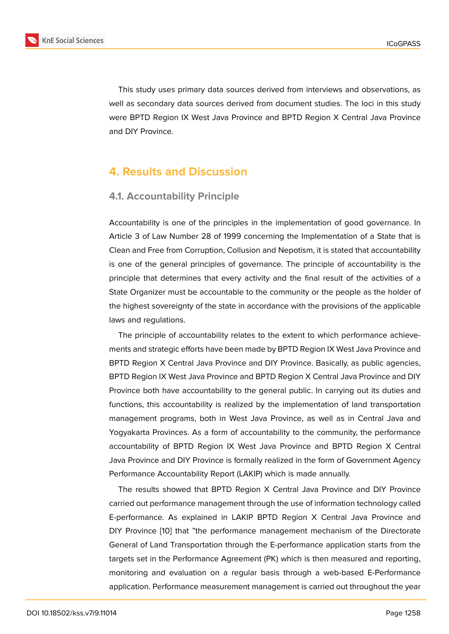This study uses primary data sources derived from interviews and observations, as well as secondary data sources derived from document studies. The loci in this study were BPTD Region IX West Java Province and BPTD Region X Central Java Province and DIY Province.

# **4. Results and Discussion**

### **4.1. Accountability Principle**

Accountability is one of the principles in the implementation of good governance. In Article 3 of Law Number 28 of 1999 concerning the Implementation of a State that is Clean and Free from Corruption, Collusion and Nepotism, it is stated that accountability is one of the general principles of governance. The principle of accountability is the principle that determines that every activity and the final result of the activities of a State Organizer must be accountable to the community or the people as the holder of the highest sovereignty of the state in accordance with the provisions of the applicable laws and regulations.

The principle of accountability relates to the extent to which performance achievements and strategic efforts have been made by BPTD Region IX West Java Province and BPTD Region X Central Java Province and DIY Province. Basically, as public agencies, BPTD Region IX West Java Province and BPTD Region X Central Java Province and DIY Province both have accountability to the general public. In carrying out its duties and functions, this accountability is realized by the implementation of land transportation management programs, both in West Java Province, as well as in Central Java and Yogyakarta Provinces. As a form of accountability to the community, the performance accountability of BPTD Region IX West Java Province and BPTD Region X Central Java Province and DIY Province is formally realized in the form of Government Agency Performance Accountability Report (LAKIP) which is made annually.

The results showed that BPTD Region X Central Java Province and DIY Province carried out performance management through the use of information technology called E-performance. As explained in LAKIP BPTD Region X Central Java Province and DIY Province [10] that "the performance management mechanism of the Directorate General of Land Transportation through the E-performance application starts from the targets set in the Performance Agreement (PK) which is then measured and reporting, monitoring an[d e](#page-15-9)valuation on a regular basis through a web-based E-Performance application. Performance measurement management is carried out throughout the year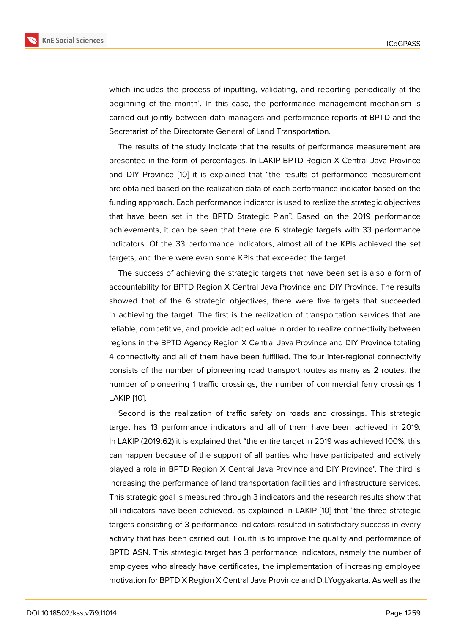which includes the process of inputting, validating, and reporting periodically at the beginning of the month". In this case, the performance management mechanism is carried out jointly between data managers and performance reports at BPTD and the Secretariat of the Directorate General of Land Transportation.

The results of the study indicate that the results of performance measurement are presented in the form of percentages. In LAKIP BPTD Region X Central Java Province and DIY Province [10] it is explained that "the results of performance measurement are obtained based on the realization data of each performance indicator based on the funding approach. Each performance indicator is used to realize the strategic objectives that have been s[et i](#page-15-9)n the BPTD Strategic Plan". Based on the 2019 performance achievements, it can be seen that there are 6 strategic targets with 33 performance indicators. Of the 33 performance indicators, almost all of the KPIs achieved the set targets, and there were even some KPIs that exceeded the target.

The success of achieving the strategic targets that have been set is also a form of accountability for BPTD Region X Central Java Province and DIY Province. The results showed that of the 6 strategic objectives, there were five targets that succeeded in achieving the target. The first is the realization of transportation services that are reliable, competitive, and provide added value in order to realize connectivity between regions in the BPTD Agency Region X Central Java Province and DIY Province totaling 4 connectivity and all of them have been fulfilled. The four inter-regional connectivity consists of the number of pioneering road transport routes as many as 2 routes, the number of pioneering 1 traffic crossings, the number of commercial ferry crossings 1 LAKIP [10].

Second is the realization of traffic safety on roads and crossings. This strategic target has 13 performance indicators and all of them have been achieved in 2019. In LAKI[P \(](#page-15-9)2019:62) it is explained that "the entire target in 2019 was achieved 100%, this can happen because of the support of all parties who have participated and actively played a role in BPTD Region X Central Java Province and DIY Province". The third is increasing the performance of land transportation facilities and infrastructure services. This strategic goal is measured through 3 indicators and the research results show that all indicators have been achieved. as explained in LAKIP [10] that "the three strategic targets consisting of 3 performance indicators resulted in satisfactory success in every activity that has been carried out. Fourth is to improve the quality and performance of BPTD ASN. This strategic target has 3 performance indica[tor](#page-15-9)s, namely the number of employees who already have certificates, the implementation of increasing employee motivation for BPTD X Region X Central Java Province and D.I.Yogyakarta. As well as the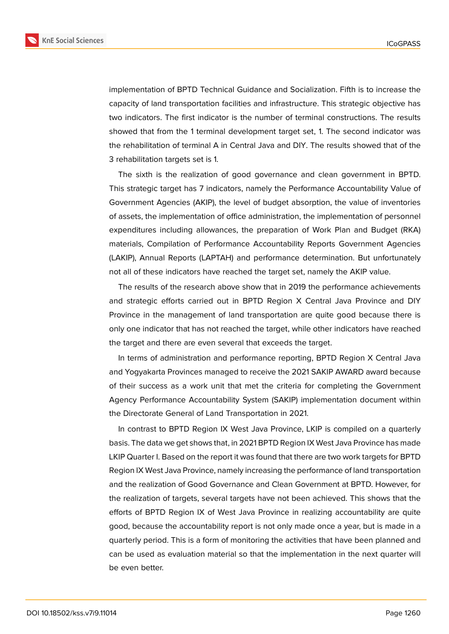

implementation of BPTD Technical Guidance and Socialization. Fifth is to increase the capacity of land transportation facilities and infrastructure. This strategic objective has two indicators. The first indicator is the number of terminal constructions. The results showed that from the 1 terminal development target set, 1. The second indicator was the rehabilitation of terminal A in Central Java and DIY. The results showed that of the 3 rehabilitation targets set is 1.

The sixth is the realization of good governance and clean government in BPTD. This strategic target has 7 indicators, namely the Performance Accountability Value of Government Agencies (AKIP), the level of budget absorption, the value of inventories of assets, the implementation of office administration, the implementation of personnel expenditures including allowances, the preparation of Work Plan and Budget (RKA) materials, Compilation of Performance Accountability Reports Government Agencies (LAKIP), Annual Reports (LAPTAH) and performance determination. But unfortunately not all of these indicators have reached the target set, namely the AKIP value.

The results of the research above show that in 2019 the performance achievements and strategic efforts carried out in BPTD Region X Central Java Province and DIY Province in the management of land transportation are quite good because there is only one indicator that has not reached the target, while other indicators have reached the target and there are even several that exceeds the target.

In terms of administration and performance reporting, BPTD Region X Central Java and Yogyakarta Provinces managed to receive the 2021 SAKIP AWARD award because of their success as a work unit that met the criteria for completing the Government Agency Performance Accountability System (SAKIP) implementation document within the Directorate General of Land Transportation in 2021.

In contrast to BPTD Region IX West Java Province, LKIP is compiled on a quarterly basis. The data we get shows that, in 2021 BPTD Region IX West Java Province has made LKIP Quarter I. Based on the report it was found that there are two work targets for BPTD Region IX West Java Province, namely increasing the performance of land transportation and the realization of Good Governance and Clean Government at BPTD. However, for the realization of targets, several targets have not been achieved. This shows that the efforts of BPTD Region IX of West Java Province in realizing accountability are quite good, because the accountability report is not only made once a year, but is made in a quarterly period. This is a form of monitoring the activities that have been planned and can be used as evaluation material so that the implementation in the next quarter will be even better.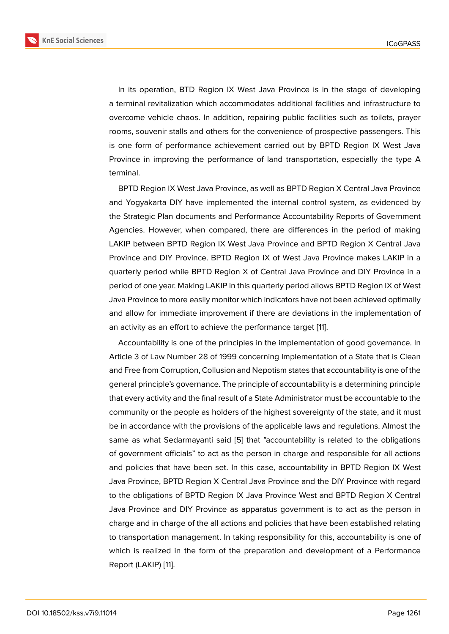In its operation, BTD Region IX West Java Province is in the stage of developing a terminal revitalization which accommodates additional facilities and infrastructure to overcome vehicle chaos. In addition, repairing public facilities such as toilets, prayer rooms, souvenir stalls and others for the convenience of prospective passengers. This is one form of performance achievement carried out by BPTD Region IX West Java Province in improving the performance of land transportation, especially the type A terminal.

BPTD Region IX West Java Province, as well as BPTD Region X Central Java Province and Yogyakarta DIY have implemented the internal control system, as evidenced by the Strategic Plan documents and Performance Accountability Reports of Government Agencies. However, when compared, there are differences in the period of making LAKIP between BPTD Region IX West Java Province and BPTD Region X Central Java Province and DIY Province. BPTD Region IX of West Java Province makes LAKIP in a quarterly period while BPTD Region X of Central Java Province and DIY Province in a period of one year. Making LAKIP in this quarterly period allows BPTD Region IX of West Java Province to more easily monitor which indicators have not been achieved optimally and allow for immediate improvement if there are deviations in the implementation of an activity as an effort to achieve the performance target [11].

Accountability is one of the principles in the implementation of good governance. In Article 3 of Law Number 28 of 1999 concerning Implementation of a State that is Clean and Free from Corruption, Collusion and Nepotism states th[at](#page-15-10) accountability is one of the general principle's governance. The principle of accountability is a determining principle that every activity and the final result of a State Administrator must be accountable to the community or the people as holders of the highest sovereignty of the state, and it must be in accordance with the provisions of the applicable laws and regulations. Almost the same as what Sedarmayanti said [5] that "accountability is related to the obligations of government officials" to act as the person in charge and responsible for all actions and policies that have been set. In this case, accountability in BPTD Region IX West Java Province, BPTD Region X Cen[tra](#page-15-4)l Java Province and the DIY Province with regard to the obligations of BPTD Region IX Java Province West and BPTD Region X Central Java Province and DIY Province as apparatus government is to act as the person in charge and in charge of the all actions and policies that have been established relating to transportation management. In taking responsibility for this, accountability is one of which is realized in the form of the preparation and development of a Performance Report (LAKIP) [11].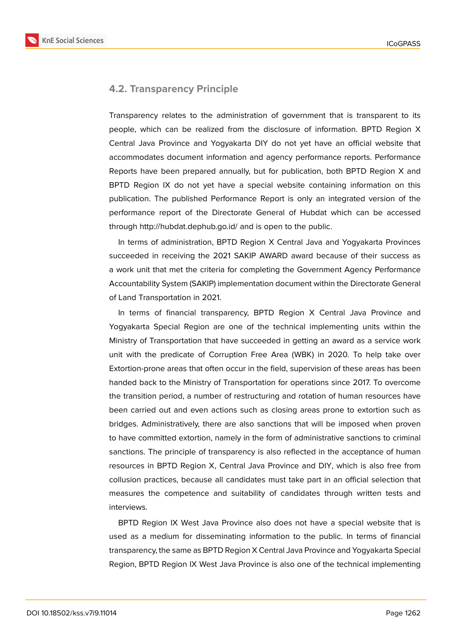**KnE Social Sciences** 



### **4.2. Transparency Principle**

Transparency relates to the administration of government that is transparent to its people, which can be realized from the disclosure of information. BPTD Region X Central Java Province and Yogyakarta DIY do not yet have an official website that accommodates document information and agency performance reports. Performance Reports have been prepared annually, but for publication, both BPTD Region X and BPTD Region IX do not yet have a special website containing information on this publication. The published Performance Report is only an integrated version of the performance report of the Directorate General of Hubdat which can be accessed through http://hubdat.dephub.go.id/ and is open to the public.

In terms of administration, BPTD Region X Central Java and Yogyakarta Provinces succeeded in receiving the 2021 SAKIP AWARD award because of their success as a work unit that met the criteria for completing the Government Agency Performance Accountability System (SAKIP) implementation document within the Directorate General of Land Transportation in 2021.

In terms of financial transparency, BPTD Region X Central Java Province and Yogyakarta Special Region are one of the technical implementing units within the Ministry of Transportation that have succeeded in getting an award as a service work unit with the predicate of Corruption Free Area (WBK) in 2020. To help take over Extortion-prone areas that often occur in the field, supervision of these areas has been handed back to the Ministry of Transportation for operations since 2017. To overcome the transition period, a number of restructuring and rotation of human resources have been carried out and even actions such as closing areas prone to extortion such as bridges. Administratively, there are also sanctions that will be imposed when proven to have committed extortion, namely in the form of administrative sanctions to criminal sanctions. The principle of transparency is also reflected in the acceptance of human resources in BPTD Region X, Central Java Province and DIY, which is also free from collusion practices, because all candidates must take part in an official selection that measures the competence and suitability of candidates through written tests and interviews.

BPTD Region IX West Java Province also does not have a special website that is used as a medium for disseminating information to the public. In terms of financial transparency, the same as BPTD Region X Central Java Province and Yogyakarta Special Region, BPTD Region IX West Java Province is also one of the technical implementing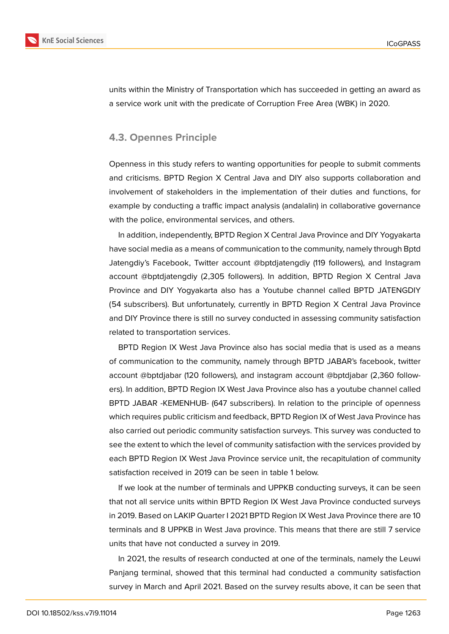

units within the Ministry of Transportation which has succeeded in getting an award as a service work unit with the predicate of Corruption Free Area (WBK) in 2020.

### **4.3. Opennes Principle**

Openness in this study refers to wanting opportunities for people to submit comments and criticisms. BPTD Region X Central Java and DIY also supports collaboration and involvement of stakeholders in the implementation of their duties and functions, for example by conducting a traffic impact analysis (andalalin) in collaborative governance with the police, environmental services, and others.

In addition, independently, BPTD Region X Central Java Province and DIY Yogyakarta have social media as a means of communication to the community, namely through Bptd Jatengdiy's Facebook, Twitter account @bptdjatengdiy (119 followers), and Instagram account @bptdjatengdiy (2,305 followers). In addition, BPTD Region X Central Java Province and DIY Yogyakarta also has a Youtube channel called BPTD JATENGDIY (54 subscribers). But unfortunately, currently in BPTD Region X Central Java Province and DIY Province there is still no survey conducted in assessing community satisfaction related to transportation services.

BPTD Region IX West Java Province also has social media that is used as a means of communication to the community, namely through BPTD JABAR's facebook, twitter account @bptdjabar (120 followers), and instagram account @bptdjabar (2,360 followers). In addition, BPTD Region IX West Java Province also has a youtube channel called BPTD JABAR -KEMENHUB- (647 subscribers). In relation to the principle of openness which requires public criticism and feedback, BPTD Region IX of West Java Province has also carried out periodic community satisfaction surveys. This survey was conducted to see the extent to which the level of community satisfaction with the services provided by each BPTD Region IX West Java Province service unit, the recapitulation of community satisfaction received in 2019 can be seen in table 1 below.

If we look at the number of terminals and UPPKB conducting surveys, it can be seen that not all service units within BPTD Region IX West Java Province conducted surveys in 2019. Based on LAKIP Quarter I 2021 BPTD Region IX West Java Province there are 10 terminals and 8 UPPKB in West Java province. This means that there are still 7 service units that have not conducted a survey in 2019.

In 2021, the results of research conducted at one of the terminals, namely the Leuwi Panjang terminal, showed that this terminal had conducted a community satisfaction survey in March and April 2021. Based on the survey results above, it can be seen that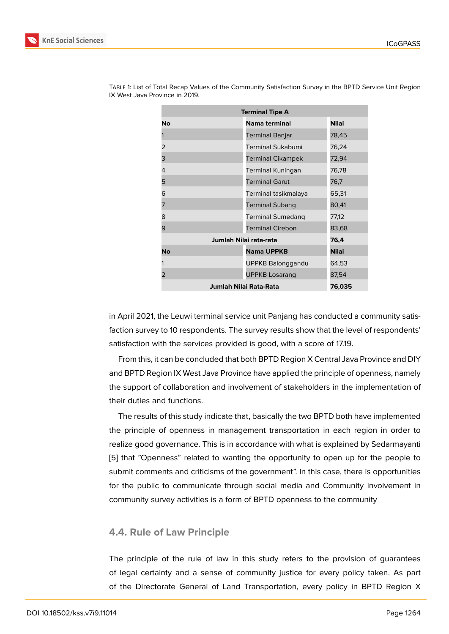| <b>Terminal Tipe A</b> |                          |              |
|------------------------|--------------------------|--------------|
| No                     | Nama terminal            | <b>Nilai</b> |
|                        | <b>Terminal Banjar</b>   | 78,45        |
| 2                      | <b>Terminal Sukabumi</b> | 76,24        |
| 3                      | <b>Terminal Cikampek</b> | 72,94        |
| 4                      | Terminal Kuningan        | 76,78        |
| 5                      | <b>Terminal Garut</b>    | 76,7         |
| 6                      | Terminal tasikmalaya     | 65,31        |
| 7                      | <b>Terminal Subang</b>   | 80,41        |
| 8                      | <b>Terminal Sumedang</b> | 77,12        |
| 9                      | <b>Terminal Cirebon</b>  | 83,68        |
| Jumlah Nilai rata-rata |                          | 76,4         |
| No                     | <b>Nama UPPKB</b>        | <b>Nilai</b> |
|                        | UPPKB Balonggandu        | 64,53        |
| 2                      | <b>UPPKB Losarang</b>    | 87,54        |
| Jumlah Nilai Rata-Rata |                          | 76,035       |

Table 1: List of Total Recap Values of the Community Satisfaction Survey in the BPTD Service Unit Region IX West Java Province in 2019.

in April 2021, the Leuwi terminal service unit Panjang has conducted a community satisfaction survey to 10 respondents. The survey results show that the level of respondents' satisfaction with the services provided is good, with a score of 17.19.

From this, it can be concluded that both BPTD Region X Central Java Province and DIY and BPTD Region IX West Java Province have applied the principle of openness, namely the support of collaboration and involvement of stakeholders in the implementation of their duties and functions.

The results of this study indicate that, basically the two BPTD both have implemented the principle of openness in management transportation in each region in order to realize good governance. This is in accordance with what is explained by Sedarmayanti [5] that "Openness" related to wanting the opportunity to open up for the people to submit comments and criticisms of the government". In this case, there is opportunities for the public to communicate through social media and Community involvement in [co](#page-15-4)mmunity survey activities is a form of BPTD openness to the community

### **4.4. Rule of Law Principle**

The principle of the rule of law in this study refers to the provision of guarantees of legal certainty and a sense of community justice for every policy taken. As part of the Directorate General of Land Transportation, every policy in BPTD Region X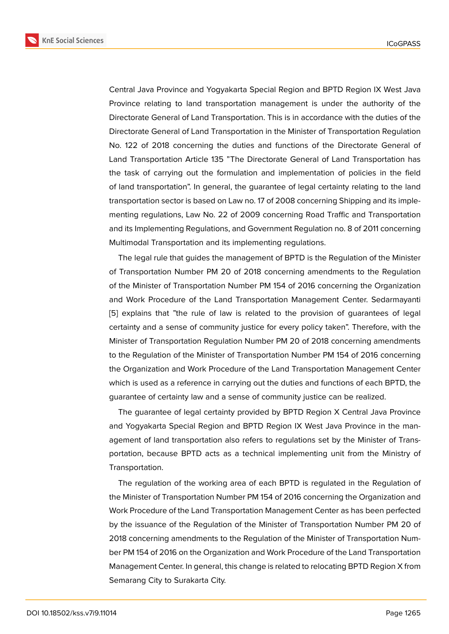Central Java Province and Yogyakarta Special Region and BPTD Region IX West Java Province relating to land transportation management is under the authority of the Directorate General of Land Transportation. This is in accordance with the duties of the Directorate General of Land Transportation in the Minister of Transportation Regulation No. 122 of 2018 concerning the duties and functions of the Directorate General of Land Transportation Article 135 "The Directorate General of Land Transportation has the task of carrying out the formulation and implementation of policies in the field of land transportation". In general, the guarantee of legal certainty relating to the land transportation sector is based on Law no. 17 of 2008 concerning Shipping and its implementing regulations, Law No. 22 of 2009 concerning Road Traffic and Transportation and its Implementing Regulations, and Government Regulation no. 8 of 2011 concerning Multimodal Transportation and its implementing regulations.

The legal rule that guides the management of BPTD is the Regulation of the Minister of Transportation Number PM 20 of 2018 concerning amendments to the Regulation of the Minister of Transportation Number PM 154 of 2016 concerning the Organization and Work Procedure of the Land Transportation Management Center. Sedarmayanti [5] explains that "the rule of law is related to the provision of guarantees of legal certainty and a sense of community justice for every policy taken". Therefore, with the Minister of Transportation Regulation Number PM 20 of 2018 concerning amendments [to](#page-15-4) the Regulation of the Minister of Transportation Number PM 154 of 2016 concerning the Organization and Work Procedure of the Land Transportation Management Center which is used as a reference in carrying out the duties and functions of each BPTD, the guarantee of certainty law and a sense of community justice can be realized.

The guarantee of legal certainty provided by BPTD Region X Central Java Province and Yogyakarta Special Region and BPTD Region IX West Java Province in the management of land transportation also refers to regulations set by the Minister of Transportation, because BPTD acts as a technical implementing unit from the Ministry of Transportation.

The regulation of the working area of each BPTD is regulated in the Regulation of the Minister of Transportation Number PM 154 of 2016 concerning the Organization and Work Procedure of the Land Transportation Management Center as has been perfected by the issuance of the Regulation of the Minister of Transportation Number PM 20 of 2018 concerning amendments to the Regulation of the Minister of Transportation Number PM 154 of 2016 on the Organization and Work Procedure of the Land Transportation Management Center. In general, this change is related to relocating BPTD Region X from Semarang City to Surakarta City.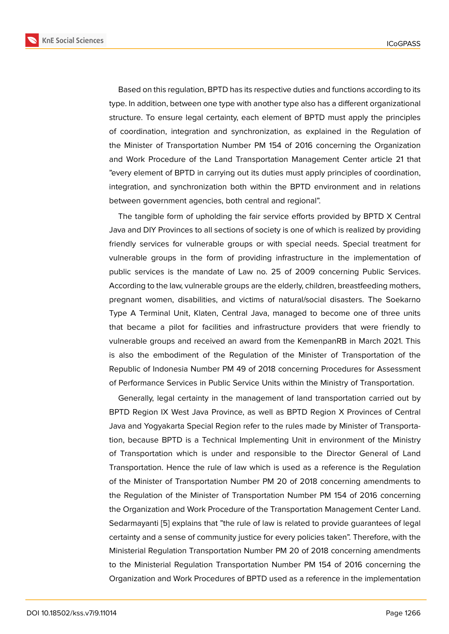Based on this regulation, BPTD has its respective duties and functions according to its type. In addition, between one type with another type also has a different organizational structure. To ensure legal certainty, each element of BPTD must apply the principles of coordination, integration and synchronization, as explained in the Regulation of the Minister of Transportation Number PM 154 of 2016 concerning the Organization and Work Procedure of the Land Transportation Management Center article 21 that "every element of BPTD in carrying out its duties must apply principles of coordination, integration, and synchronization both within the BPTD environment and in relations between government agencies, both central and regional".

The tangible form of upholding the fair service efforts provided by BPTD X Central Java and DIY Provinces to all sections of society is one of which is realized by providing friendly services for vulnerable groups or with special needs. Special treatment for vulnerable groups in the form of providing infrastructure in the implementation of public services is the mandate of Law no. 25 of 2009 concerning Public Services. According to the law, vulnerable groups are the elderly, children, breastfeeding mothers, pregnant women, disabilities, and victims of natural/social disasters. The Soekarno Type A Terminal Unit, Klaten, Central Java, managed to become one of three units that became a pilot for facilities and infrastructure providers that were friendly to vulnerable groups and received an award from the KemenpanRB in March 2021. This is also the embodiment of the Regulation of the Minister of Transportation of the Republic of Indonesia Number PM 49 of 2018 concerning Procedures for Assessment of Performance Services in Public Service Units within the Ministry of Transportation.

Generally, legal certainty in the management of land transportation carried out by BPTD Region IX West Java Province, as well as BPTD Region X Provinces of Central Java and Yogyakarta Special Region refer to the rules made by Minister of Transportation, because BPTD is a Technical Implementing Unit in environment of the Ministry of Transportation which is under and responsible to the Director General of Land Transportation. Hence the rule of law which is used as a reference is the Regulation of the Minister of Transportation Number PM 20 of 2018 concerning amendments to the Regulation of the Minister of Transportation Number PM 154 of 2016 concerning the Organization and Work Procedure of the Transportation Management Center Land. Sedarmayanti [5] explains that "the rule of law is related to provide guarantees of legal certainty and a sense of community justice for every policies taken". Therefore, with the Ministerial Regulation Transportation Number PM 20 of 2018 concerning amendments to the Ministe[ria](#page-15-4)l Regulation Transportation Number PM 154 of 2016 concerning the Organization and Work Procedures of BPTD used as a reference in the implementation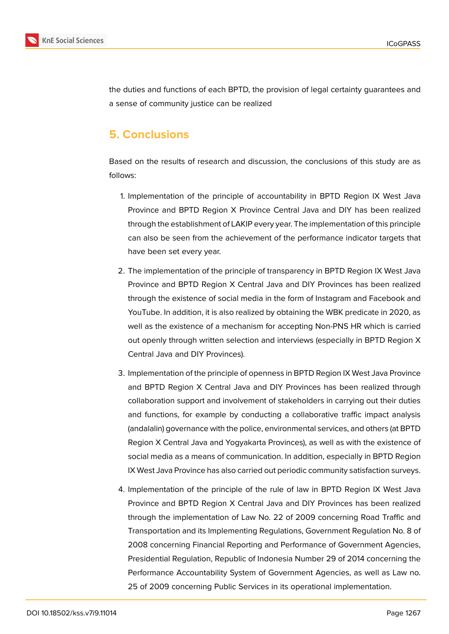

the duties and functions of each BPTD, the provision of legal certainty guarantees and a sense of community justice can be realized

# **5. Conclusions**

Based on the results of research and discussion, the conclusions of this study are as follows:

- 1. Implementation of the principle of accountability in BPTD Region IX West Java Province and BPTD Region X Province Central Java and DIY has been realized through the establishment of LAKIP every year. The implementation of this principle can also be seen from the achievement of the performance indicator targets that have been set every year.
- 2. The implementation of the principle of transparency in BPTD Region IX West Java Province and BPTD Region X Central Java and DIY Provinces has been realized through the existence of social media in the form of Instagram and Facebook and YouTube. In addition, it is also realized by obtaining the WBK predicate in 2020, as well as the existence of a mechanism for accepting Non-PNS HR which is carried out openly through written selection and interviews (especially in BPTD Region X Central Java and DIY Provinces).
- 3. Implementation of the principle of openness in BPTD Region IX West Java Province and BPTD Region X Central Java and DIY Provinces has been realized through collaboration support and involvement of stakeholders in carrying out their duties and functions, for example by conducting a collaborative traffic impact analysis (andalalin) governance with the police, environmental services, and others (at BPTD Region X Central Java and Yogyakarta Provinces), as well as with the existence of social media as a means of communication. In addition, especially in BPTD Region IX West Java Province has also carried out periodic community satisfaction surveys.
- 4. Implementation of the principle of the rule of law in BPTD Region IX West Java Province and BPTD Region X Central Java and DIY Provinces has been realized through the implementation of Law No. 22 of 2009 concerning Road Traffic and Transportation and its Implementing Regulations, Government Regulation No. 8 of 2008 concerning Financial Reporting and Performance of Government Agencies, Presidential Regulation, Republic of Indonesia Number 29 of 2014 concerning the Performance Accountability System of Government Agencies, as well as Law no. 25 of 2009 concerning Public Services in its operational implementation.